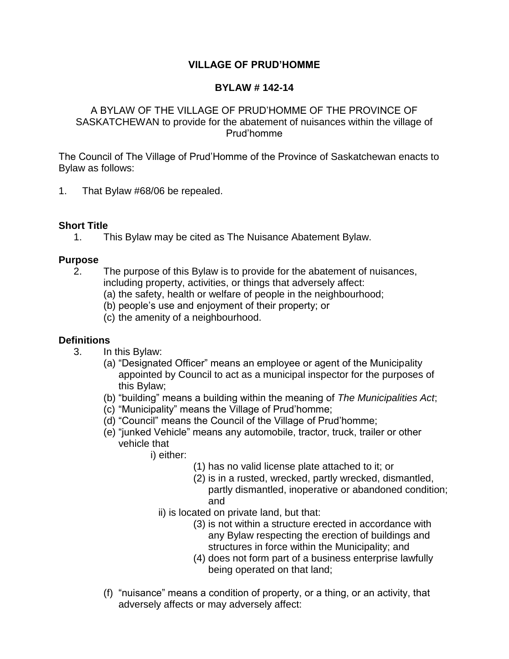## **VILLAGE OF PRUD'HOMME**

### **BYLAW # 142-14**

#### A BYLAW OF THE VILLAGE OF PRUD'HOMME OF THE PROVINCE OF SASKATCHEWAN to provide for the abatement of nuisances within the village of Prud'homme

The Council of The Village of Prud'Homme of the Province of Saskatchewan enacts to Bylaw as follows:

1. That Bylaw #68/06 be repealed.

## **Short Title**

1. This Bylaw may be cited as The Nuisance Abatement Bylaw.

## **Purpose**

- 2. The purpose of this Bylaw is to provide for the abatement of nuisances, including property, activities, or things that adversely affect:
	- (a) the safety, health or welfare of people in the neighbourhood;
	- (b) people's use and enjoyment of their property; or
	- (c) the amenity of a neighbourhood.

## **Definitions**

- 3. In this Bylaw:
	- (a) "Designated Officer" means an employee or agent of the Municipality appointed by Council to act as a municipal inspector for the purposes of this Bylaw;
	- (b) "building" means a building within the meaning of *The Municipalities Act*;
	- (c) "Municipality" means the Village of Prud'homme;
	- (d) "Council" means the Council of the Village of Prud'homme;
	- (e) "junked Vehicle" means any automobile, tractor, truck, trailer or other vehicle that
		- i) either:
			- (1) has no valid license plate attached to it; or
			- (2) is in a rusted, wrecked, partly wrecked, dismantled, partly dismantled, inoperative or abandoned condition; and
			- ii) is located on private land, but that:
				- (3) is not within a structure erected in accordance with any Bylaw respecting the erection of buildings and structures in force within the Municipality; and
				- (4) does not form part of a business enterprise lawfully being operated on that land;
	- (f) "nuisance" means a condition of property, or a thing, or an activity, that adversely affects or may adversely affect: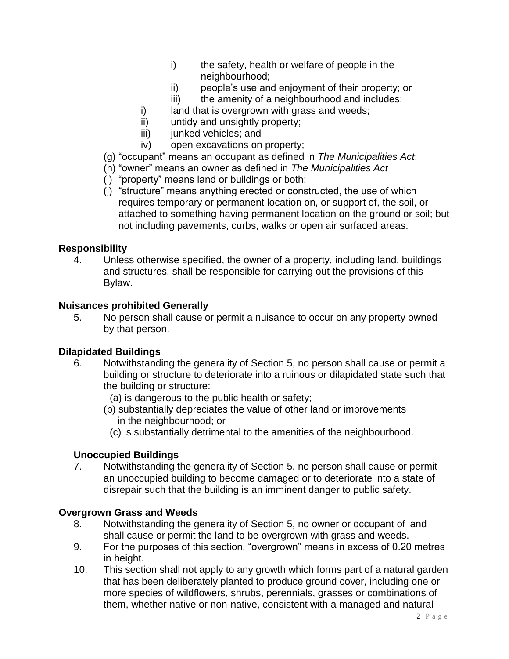- i) the safety, health or welfare of people in the neighbourhood;
- ii) people's use and enjoyment of their property; or
- iii) the amenity of a neighbourhood and includes:
- i) land that is overgrown with grass and weeds;
- ii) untidy and unsightly property;
- iii) junked vehicles; and
- iv) open excavations on property;
- (g) "occupant" means an occupant as defined in *The Municipalities Act*;
- (h) "owner" means an owner as defined in *The Municipalities Act*
- (i) "property" means land or buildings or both;
- (j) "structure" means anything erected or constructed, the use of which requires temporary or permanent location on, or support of, the soil, or attached to something having permanent location on the ground or soil; but not including pavements, curbs, walks or open air surfaced areas.

#### **Responsibility**

4. Unless otherwise specified, the owner of a property, including land, buildings and structures, shall be responsible for carrying out the provisions of this Bylaw.

#### **Nuisances prohibited Generally**

5. No person shall cause or permit a nuisance to occur on any property owned by that person.

#### **Dilapidated Buildings**

- 6. Notwithstanding the generality of Section 5, no person shall cause or permit a building or structure to deteriorate into a ruinous or dilapidated state such that the building or structure:
	- (a) is dangerous to the public health or safety;
	- (b) substantially depreciates the value of other land or improvements in the neighbourhood; or
		- (c) is substantially detrimental to the amenities of the neighbourhood.

#### **Unoccupied Buildings**

7. Notwithstanding the generality of Section 5, no person shall cause or permit an unoccupied building to become damaged or to deteriorate into a state of disrepair such that the building is an imminent danger to public safety.

#### **Overgrown Grass and Weeds**

- 8. Notwithstanding the generality of Section 5, no owner or occupant of land shall cause or permit the land to be overgrown with grass and weeds.
- 9. For the purposes of this section, "overgrown" means in excess of 0.20 metres in height.
- 10. This section shall not apply to any growth which forms part of a natural garden that has been deliberately planted to produce ground cover, including one or more species of wildflowers, shrubs, perennials, grasses or combinations of them, whether native or non-native, consistent with a managed and natural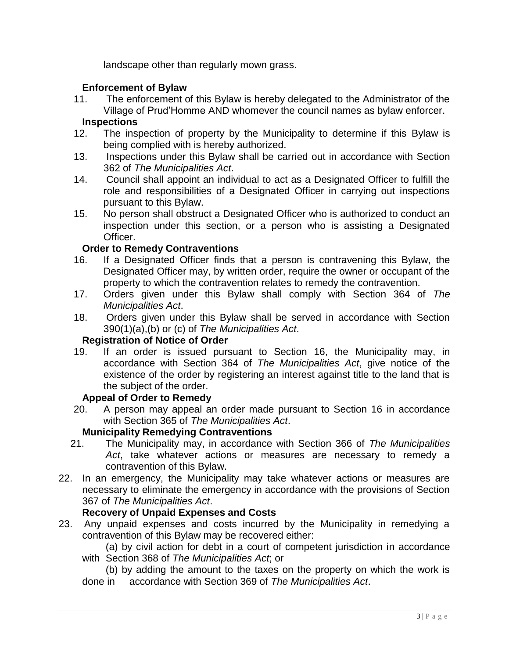landscape other than regularly mown grass.

### **Enforcement of Bylaw**

11. The enforcement of this Bylaw is hereby delegated to the Administrator of the Village of Prud'Homme AND whomever the council names as bylaw enforcer.

### **Inspections**

- 12. The inspection of property by the Municipality to determine if this Bylaw is being complied with is hereby authorized.
- 13. Inspections under this Bylaw shall be carried out in accordance with Section 362 of *The Municipalities Act*.
- 14. Council shall appoint an individual to act as a Designated Officer to fulfill the role and responsibilities of a Designated Officer in carrying out inspections pursuant to this Bylaw.
- 15. No person shall obstruct a Designated Officer who is authorized to conduct an inspection under this section, or a person who is assisting a Designated Officer.

## **Order to Remedy Contraventions**

- 16. If a Designated Officer finds that a person is contravening this Bylaw, the Designated Officer may, by written order, require the owner or occupant of the property to which the contravention relates to remedy the contravention.
- 17. Orders given under this Bylaw shall comply with Section 364 of *The Municipalities Act*.
- 18. Orders given under this Bylaw shall be served in accordance with Section 390(1)(a),(b) or (c) of *The Municipalities Act*.

### **Registration of Notice of Order**

19. If an order is issued pursuant to Section 16, the Municipality may, in accordance with Section 364 of *The Municipalities Act*, give notice of the existence of the order by registering an interest against title to the land that is the subject of the order.

#### **Appeal of Order to Remedy**

20. A person may appeal an order made pursuant to Section 16 in accordance with Section 365 of *The Municipalities Act*.

# **Municipality Remedying Contraventions**

- 21. The Municipality may, in accordance with Section 366 of *The Municipalities Act*, take whatever actions or measures are necessary to remedy a contravention of this Bylaw.
- 22. In an emergency, the Municipality may take whatever actions or measures are necessary to eliminate the emergency in accordance with the provisions of Section 367 of *The Municipalities Act*.

## **Recovery of Unpaid Expenses and Costs**

- 23. Any unpaid expenses and costs incurred by the Municipality in remedying a contravention of this Bylaw may be recovered either:
	- (a) by civil action for debt in a court of competent jurisdiction in accordance with Section 368 of *The Municipalities Act*; or

(b) by adding the amount to the taxes on the property on which the work is done in accordance with Section 369 of *The Municipalities Act*.